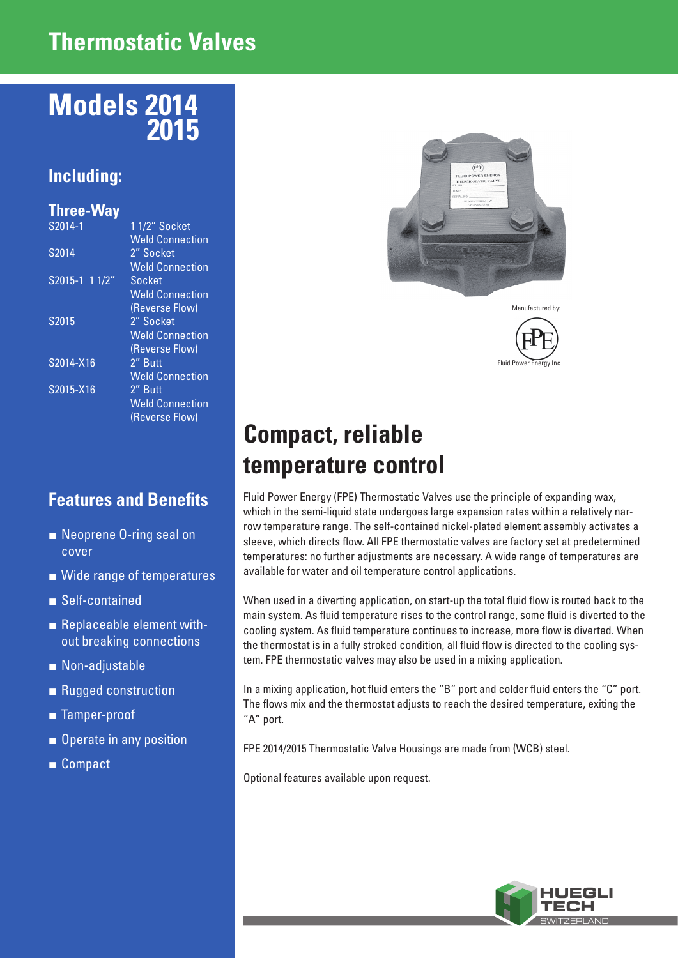### **Thermostatic Valves**

## **Models 2014 2015**

#### **Including:**

#### **Three-Way**

| S2014-1        | 1 1/2" Socket          |
|----------------|------------------------|
|                | <b>Weld Connection</b> |
| S2014          | 2" Socket              |
|                | <b>Weld Connection</b> |
| S2015-1 1 1/2" | Socket                 |
|                | <b>Weld Connection</b> |
|                | (Reverse Flow)         |
| S2015          | 2" Socket              |
|                | <b>Weld Connection</b> |
|                | (Reverse Flow)         |
| S2014-X16      | 2" Butt                |
|                | <b>Weld Connection</b> |
| S2015-X16      | 2" Butt                |
|                | <b>Weld Connection</b> |
|                | (Reverse Flow)         |
|                |                        |

#### **Features and Benefits**

- Neoprene O-ring seal on cover
- Wide range of temperatures
- Self-contained
- Replaceable element without breaking connections
- Non-adjustable
- Rugged construction
- Tamper-proof
- Operate in any position
- Compact





# **Compact, reliable temperature control**

Fluid Power Energy (FPE) Thermostatic Valves use the principle of expanding wax, which in the semi-liquid state undergoes large expansion rates within a relatively narrow temperature range. The self-contained nickel-plated element assembly activates a sleeve, which directs flow. All FPE thermostatic valves are factory set at predetermined temperatures: no further adjustments are necessary. A wide range of temperatures are available for water and oil temperature control applications.

When used in a diverting application, on start-up the total fluid flow is routed back to the main system. As fluid temperature rises to the control range, some fluid is diverted to the cooling system. As fluid temperature continues to increase, more flow is diverted. When the thermostat is in a fully stroked condition, all fluid flow is directed to the cooling system. FPE thermostatic valves may also be used in a mixing application.

In a mixing application, hot fluid enters the "B" port and colder fluid enters the "C" port. The flows mix and the thermostat adjusts to reach the desired temperature, exiting the "A" port.

FPE 2014/2015 Thermostatic Valve Housings are made from (WCB) steel.

Optional features available upon request.

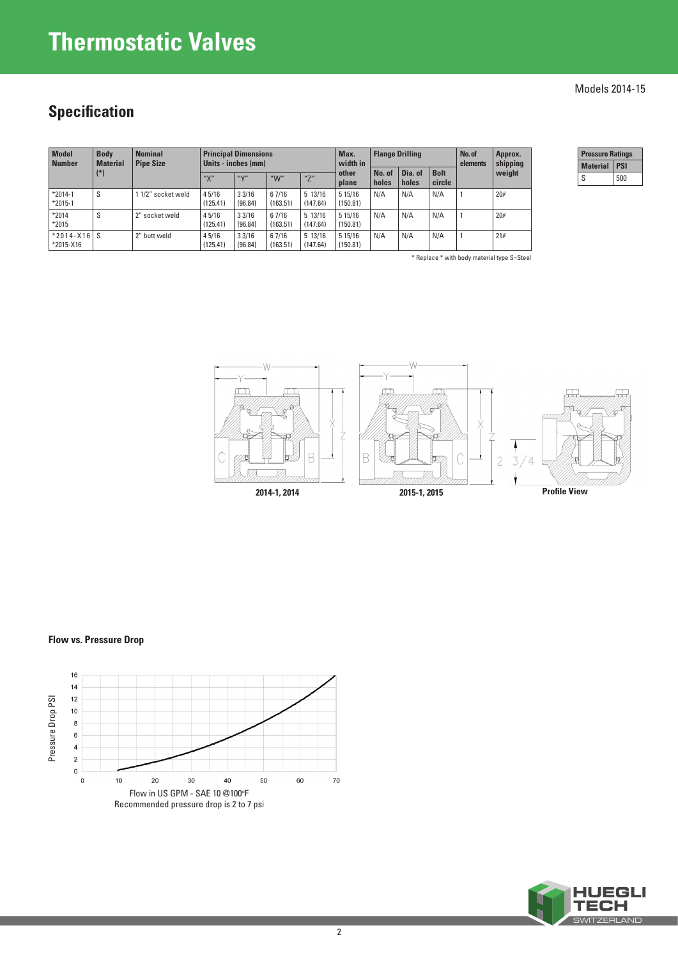## **Thermostatic Valves**

### **Specification**

| <b>Model</b><br><b>Number</b>    | <b>Body</b><br><b>Material</b> | <b>Nominal</b><br><b>Pipe Size</b> | <b>Principal Dimensions</b><br>Units - inches (mm) |                  |                   |                     | Max.<br>width in       | <b>Flange Drilling</b> |                  |                       | No. of<br>elements | Approx.<br>shipping |
|----------------------------------|--------------------------------|------------------------------------|----------------------------------------------------|------------------|-------------------|---------------------|------------------------|------------------------|------------------|-----------------------|--------------------|---------------------|
|                                  | $(*)$                          |                                    | uyn<br>$\Lambda$                                   | uyu              | " $W$ "           | $n \rightarrow n$   | other<br>plane         | No. of<br>holes        | Dia. of<br>holes | <b>Bolt</b><br>circle |                    | weight              |
| $*2014-1$<br>$*2015-1$           | S                              | 1 1/2" socket weld                 | 4 5/16<br>(125.41)                                 | 33/16<br>(96.84) | 67/16<br>(163.51) | 5 13/16<br>(147.64) | 5 1 5 / 16<br>(150.81) | N/A                    | N/A              | N/A                   |                    | 20#                 |
| $*2014$<br>$*2015$               | S                              | 2" socket weld                     | 4 5/16<br>(125.41)                                 | 33/16<br>(96.84) | 67/16<br>(163.51) | 5 13/16<br>(147.64) | 5 1 5 / 16<br>(150.81) | N/A                    | N/A              | N/A                   |                    | 20#                 |
| $*2014 - X16$ S<br>$*2015 - X16$ |                                | 2" butt weld                       | 4 5/16<br>(125.41)                                 | 33/16<br>(96.84) | 67/16<br>(163.51) | 5 13/16<br>(147.64) | 5 1 5 / 16<br>(150.81) | N/A                    | N/A              | N/A                   |                    | 21#                 |

\* Replace \* with body material type S=Steel

| ressure Ratings |     |  |
|-----------------|-----|--|
| <b>Material</b> |     |  |
| S               | 500 |  |



#### **Flow vs. Pressure Drop**





#### Models 2014-15